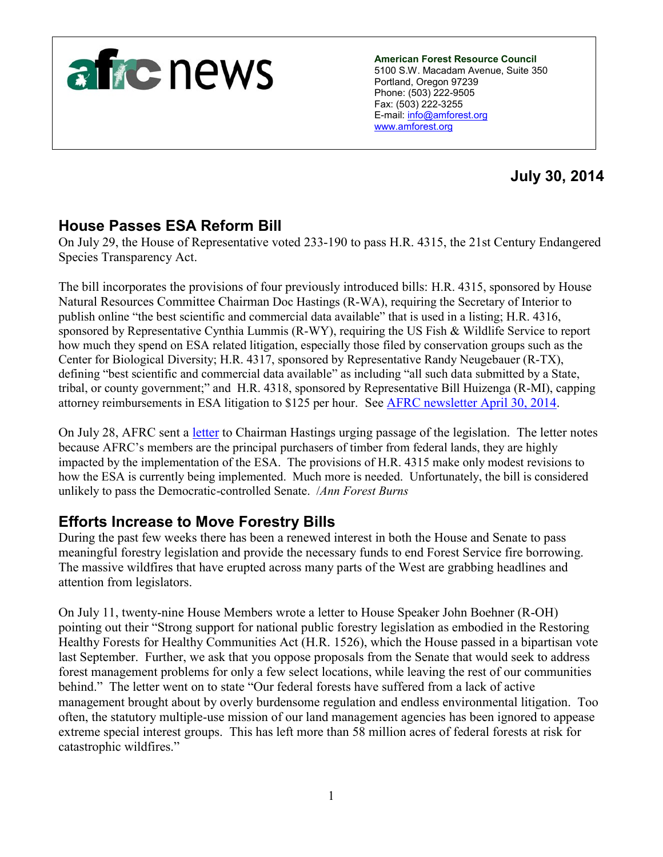

**American Forest Resource Council** 5100 S.W. Macadam Avenue, Suite 350 Portland, Oregon 97239 Phone: (503) 222-9505 Fax: (503) 222-3255 E-mail: [info@amforest.org](mailto:info@amforest.org) [www.amforest.org](http://www.amforest.org/)

# **July 30, 2014**

## **House Passes ESA Reform Bill**

On July 29, the House of Representative voted 233-190 to pass H.R. 4315, the 21st Century Endangered Species Transparency Act.

The bill incorporates the provisions of four previously introduced bills: H.R. 4315, sponsored by House Natural Resources Committee Chairman Doc Hastings (R-WA), requiring the Secretary of Interior to publish online "the best scientific and commercial data available" that is used in a listing; H.R. 4316, sponsored by Representative Cynthia Lummis (R-WY), requiring the US Fish & Wildlife Service to report how much they spend on ESA related litigation, especially those filed by conservation groups such as the Center for Biological Diversity; H.R. 4317, sponsored by Representative Randy Neugebauer (R-TX), defining "best scientific and commercial data available" as including "all such data submitted by a State, tribal, or county government;" and H.R. 4318, sponsored by Representative Bill Huizenga (R-MI), capping attorney reimbursements in ESA litigation to \$125 per hour. See [AFRC newsletter April 30, 2014.](http://www.amforest.org/images/pdfs/AFRC_Newsletter_4-30-14.pdf)

On July 28, AFRC sent a [letter](http://www.amforest.org/images/pdfs/Ltr_to_Cong._Hastings_HR_4315.pdf) to Chairman Hastings urging passage of the legislation. The letter notes because AFRC's members are the principal purchasers of timber from federal lands, they are highly impacted by the implementation of the ESA. The provisions of H.R. 4315 make only modest revisions to how the ESA is currently being implemented. Much more is needed. Unfortunately, the bill is considered unlikely to pass the Democratic-controlled Senate. /*Ann Forest Burns*

### **Efforts Increase to Move Forestry Bills**

During the past few weeks there has been a renewed interest in both the House and Senate to pass meaningful forestry legislation and provide the necessary funds to end Forest Service fire borrowing. The massive wildfires that have erupted across many parts of the West are grabbing headlines and attention from legislators.

On July 11, twenty-nine House Members wrote a letter to House Speaker John Boehner (R-OH) pointing out their "Strong support for national public forestry legislation as embodied in the Restoring Healthy Forests for Healthy Communities Act (H.R. 1526), which the House passed in a bipartisan vote last September. Further, we ask that you oppose proposals from the Senate that would seek to address forest management problems for only a few select locations, while leaving the rest of our communities behind." The letter went on to state "Our federal forests have suffered from a lack of active management brought about by overly burdensome regulation and endless environmental litigation. Too often, the statutory multiple-use mission of our land management agencies has been ignored to appease extreme special interest groups. This has left more than 58 million acres of federal forests at risk for catastrophic wildfires."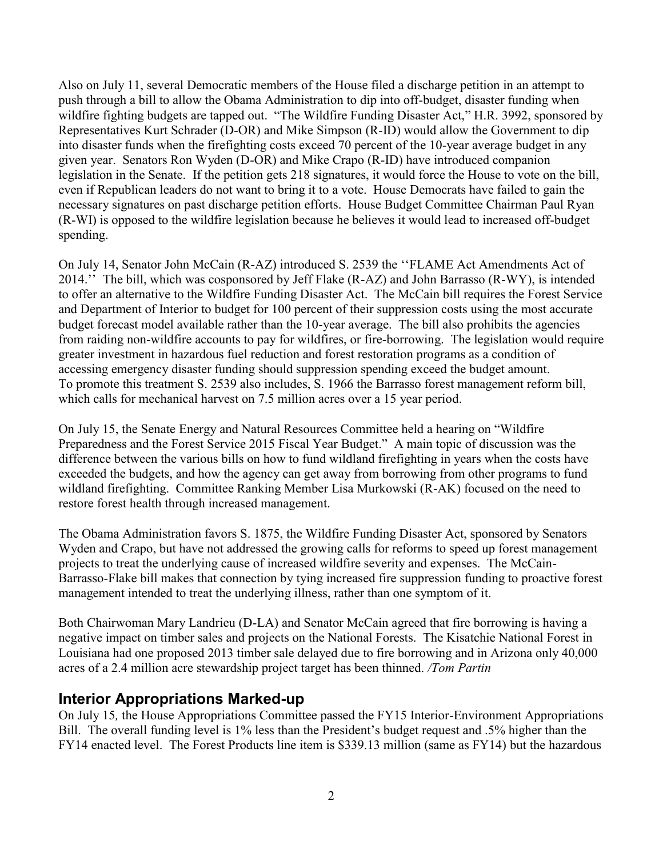Also on July 11, several Democratic members of the House filed a discharge petition in an attempt to push through a bill to allow the Obama Administration to dip into off-budget, disaster funding when wildfire fighting budgets are tapped out. "The Wildfire Funding Disaster Act," H.R. 3992, sponsored by Representatives Kurt Schrader (D-OR) and Mike Simpson (R-ID) would allow the Government to dip into disaster funds when the firefighting costs exceed 70 percent of the 10-year average budget in any given year. Senators Ron Wyden (D-OR) and Mike Crapo (R-ID) have introduced companion legislation in the Senate. If the petition gets 218 signatures, it would force the House to vote on the bill, even if Republican leaders do not want to bring it to a vote. House Democrats have failed to gain the necessary signatures on past discharge petition efforts. House Budget Committee Chairman Paul Ryan (R-WI) is opposed to the wildfire legislation because he believes it would lead to increased off-budget spending.

On July 14, Senator John McCain (R-AZ) introduced S. 2539 the ''FLAME Act Amendments Act of 2014.'' The bill, which was cosponsored by Jeff Flake (R-AZ) and John Barrasso (R-WY), is intended to offer an alternative to the Wildfire Funding Disaster Act. The McCain bill requires the Forest Service and Department of Interior to budget for 100 percent of their suppression costs using the most accurate budget forecast model available rather than the 10-year average. The bill also prohibits the agencies from raiding non-wildfire accounts to pay for wildfires, or fire-borrowing. The legislation would require greater investment in hazardous fuel reduction and forest restoration programs as a condition of accessing emergency disaster funding should suppression spending exceed the budget amount. To promote this treatment S. 2539 also includes, S. 1966 the Barrasso forest management reform bill, which calls for mechanical harvest on 7.5 million acres over a 15 year period.

On July 15, the Senate Energy and Natural Resources Committee held a hearing on "Wildfire Preparedness and the Forest Service 2015 Fiscal Year Budget." A main topic of discussion was the difference between the various bills on how to fund wildland firefighting in years when the costs have exceeded the budgets, and how the agency can get away from borrowing from other programs to fund wildland firefighting. Committee Ranking Member Lisa Murkowski (R-AK) focused on the need to restore forest health through increased management.

The Obama Administration favors S. 1875, the Wildfire Funding Disaster Act, sponsored by Senators Wyden and Crapo, but have not addressed the growing calls for reforms to speed up forest management projects to treat the underlying cause of increased wildfire severity and expenses. The McCain-Barrasso-Flake bill makes that connection by tying increased fire suppression funding to proactive forest management intended to treat the underlying illness, rather than one symptom of it.

Both Chairwoman Mary Landrieu (D-LA) and Senator McCain agreed that fire borrowing is having a negative impact on timber sales and projects on the National Forests. The Kisatchie National Forest in Louisiana had one proposed 2013 timber sale delayed due to fire borrowing and in Arizona only 40,000 acres of a 2.4 million acre stewardship project target has been thinned. */Tom Partin*

#### **Interior Appropriations Marked-up**

On July 15*,* the House Appropriations Committee passed the FY15 Interior-Environment Appropriations Bill. The overall funding level is 1% less than the President's budget request and .5% higher than the FY14 enacted level. The Forest Products line item is \$339.13 million (same as FY14) but the hazardous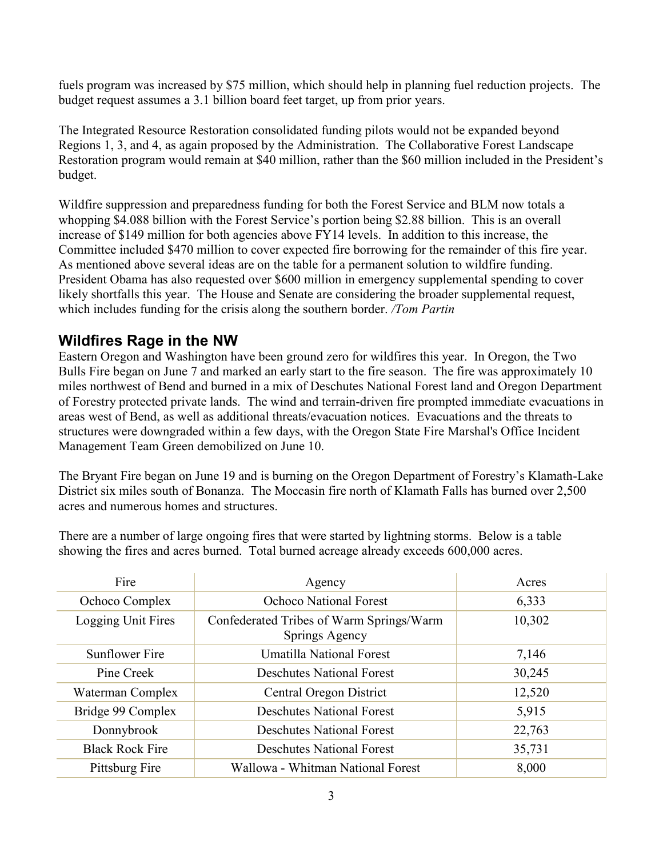fuels program was increased by \$75 million, which should help in planning fuel reduction projects. The budget request assumes a 3.1 billion board feet target, up from prior years.

The Integrated Resource Restoration consolidated funding pilots would not be expanded beyond Regions 1, 3, and 4, as again proposed by the Administration. The Collaborative Forest Landscape Restoration program would remain at \$40 million, rather than the \$60 million included in the President's budget.

Wildfire suppression and preparedness funding for both the Forest Service and BLM now totals a whopping \$4.088 billion with the Forest Service's portion being \$2.88 billion. This is an overall increase of \$149 million for both agencies above FY14 levels. In addition to this increase, the Committee included \$470 million to cover expected fire borrowing for the remainder of this fire year. As mentioned above several ideas are on the table for a permanent solution to wildfire funding. President Obama has also requested over \$600 million in emergency supplemental spending to cover likely shortfalls this year. The House and Senate are considering the broader supplemental request, which includes funding for the crisis along the southern border. */Tom Partin*

### **Wildfires Rage in the NW**

Eastern Oregon and Washington have been ground zero for wildfires this year. In Oregon, the Two Bulls Fire began on June 7 and marked an early start to the fire season. The fire was approximately 10 miles northwest of Bend and burned in a mix of Deschutes National Forest land and Oregon Department of Forestry protected private lands. The wind and terrain-driven fire prompted immediate evacuations in areas west of Bend, as well as additional threats/evacuation notices. Evacuations and the threats to structures were downgraded within a few days, with the Oregon State Fire Marshal's Office Incident Management Team Green demobilized on June 10.

The Bryant Fire began on June 19 and is burning on the Oregon Department of Forestry's Klamath-Lake District six miles south of Bonanza. The Moccasin fire north of Klamath Falls has burned over 2,500 acres and numerous homes and structures.

There are a number of large ongoing fires that were started by lightning storms. Below is a table showing the fires and acres burned. Total burned acreage already exceeds 600,000 acres.

| Fire                   | Agency                                                     | Acres  |
|------------------------|------------------------------------------------------------|--------|
| Ochoco Complex         | <b>Ochoco National Forest</b>                              | 6,333  |
| Logging Unit Fires     | Confederated Tribes of Warm Springs/Warm<br>Springs Agency | 10,302 |
| Sunflower Fire         | Umatilla National Forest                                   | 7,146  |
| Pine Creek             | <b>Deschutes National Forest</b>                           | 30,245 |
| Waterman Complex       | Central Oregon District                                    | 12,520 |
| Bridge 99 Complex      | <b>Deschutes National Forest</b>                           | 5,915  |
| Donnybrook             | <b>Deschutes National Forest</b>                           | 22,763 |
| <b>Black Rock Fire</b> | <b>Deschutes National Forest</b>                           | 35,731 |
| Pittsburg Fire         | Wallowa - Whitman National Forest                          | 8,000  |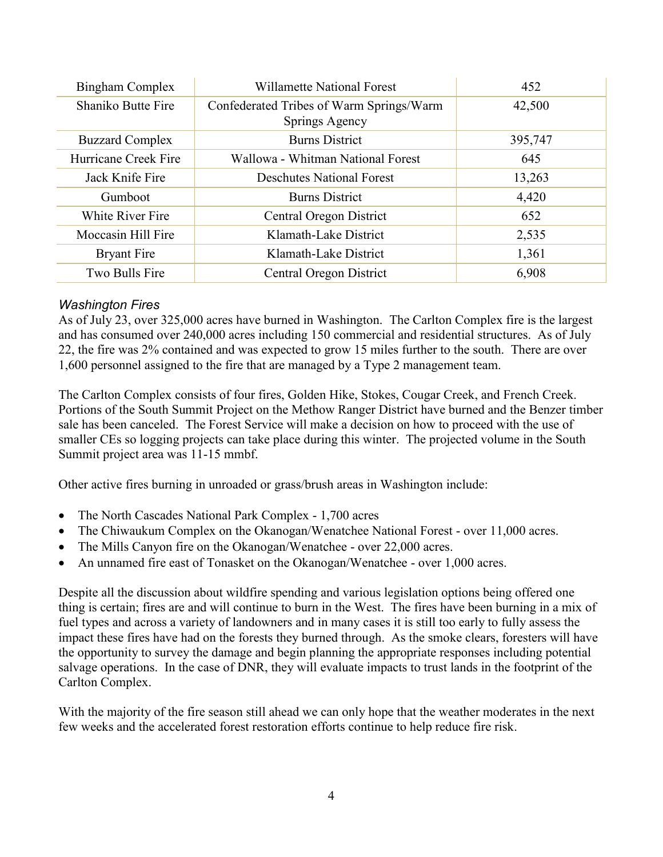| <b>Bingham Complex</b>    | Willamette National Forest                                 | 452     |
|---------------------------|------------------------------------------------------------|---------|
| <b>Shaniko Butte Fire</b> | Confederated Tribes of Warm Springs/Warm<br>Springs Agency | 42,500  |
| <b>Buzzard Complex</b>    | <b>Burns District</b>                                      | 395,747 |
| Hurricane Creek Fire      | Wallowa - Whitman National Forest                          | 645     |
| Jack Knife Fire           | <b>Deschutes National Forest</b>                           | 13,263  |
| Gumboot                   | <b>Burns District</b>                                      | 4,420   |
| <b>White River Fire</b>   | Central Oregon District                                    | 652     |
| Moccasin Hill Fire        | Klamath-Lake District                                      | 2,535   |
| <b>Bryant Fire</b>        | Klamath-Lake District                                      | 1,361   |
| Two Bulls Fire            | Central Oregon District                                    | 6,908   |

#### *Washington Fires*

As of July 23, over 325,000 acres have burned in Washington. The Carlton Complex fire is the largest and has consumed over 240,000 acres including 150 commercial and residential structures. As of July 22, the fire was 2% contained and was expected to grow 15 miles further to the south. There are over 1,600 personnel assigned to the fire that are managed by a Type 2 management team.

The Carlton Complex consists of four fires, Golden Hike, Stokes, Cougar Creek, and French Creek. Portions of the South Summit Project on the Methow Ranger District have burned and the Benzer timber sale has been canceled. The Forest Service will make a decision on how to proceed with the use of smaller CEs so logging projects can take place during this winter. The projected volume in the South Summit project area was 11-15 mmbf.

Other active fires burning in unroaded or grass/brush areas in Washington include:

- The North Cascades National Park Complex 1,700 acres
- The Chiwaukum Complex on the Okanogan/Wenatchee National Forest over 11,000 acres.
- The Mills Canyon fire on the Okanogan/Wenatchee over 22,000 acres.
- An unnamed fire east of Tonasket on the Okanogan/Wenatchee over 1,000 acres.

Despite all the discussion about wildfire spending and various legislation options being offered one thing is certain; fires are and will continue to burn in the West. The fires have been burning in a mix of fuel types and across a variety of landowners and in many cases it is still too early to fully assess the impact these fires have had on the forests they burned through. As the smoke clears, foresters will have the opportunity to survey the damage and begin planning the appropriate responses including potential salvage operations. In the case of DNR, they will evaluate impacts to trust lands in the footprint of the Carlton Complex.

With the majority of the fire season still ahead we can only hope that the weather moderates in the next few weeks and the accelerated forest restoration efforts continue to help reduce fire risk.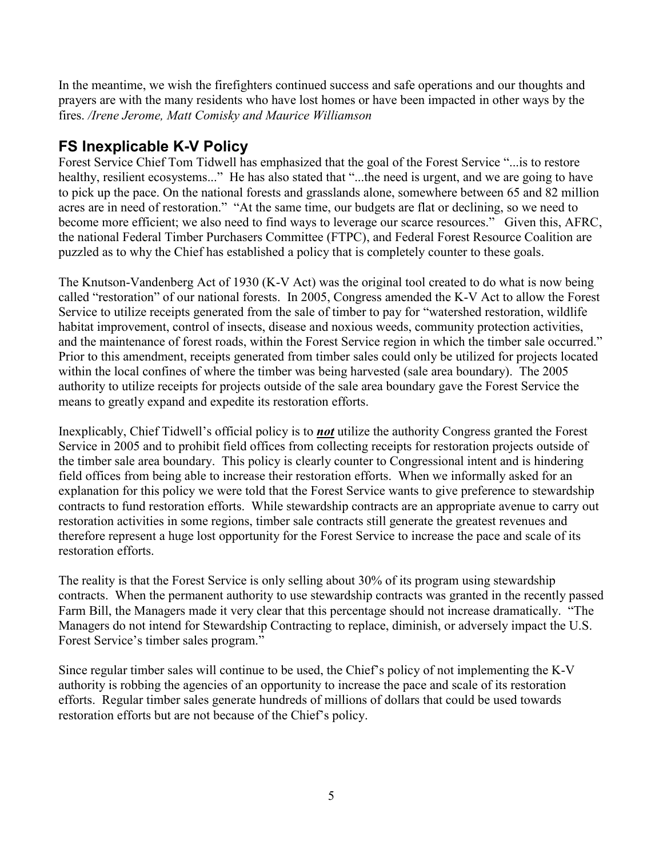In the meantime, we wish the firefighters continued success and safe operations and our thoughts and prayers are with the many residents who have lost homes or have been impacted in other ways by the fires. */Irene Jerome, Matt Comisky and Maurice Williamson*

## **FS Inexplicable K-V Policy**

Forest Service Chief Tom Tidwell has emphasized that the goal of the Forest Service "...is to restore healthy, resilient ecosystems..." He has also stated that "...the need is urgent, and we are going to have to pick up the pace. On the national forests and grasslands alone, somewhere between 65 and 82 million acres are in need of restoration." "At the same time, our budgets are flat or declining, so we need to become more efficient; we also need to find ways to leverage our scarce resources." Given this, AFRC, the national Federal Timber Purchasers Committee (FTPC), and Federal Forest Resource Coalition are puzzled as to why the Chief has established a policy that is completely counter to these goals.

The Knutson-Vandenberg Act of 1930 (K-V Act) was the original tool created to do what is now being called "restoration" of our national forests. In 2005, Congress amended the K-V Act to allow the Forest Service to utilize receipts generated from the sale of timber to pay for "watershed restoration, wildlife habitat improvement, control of insects, disease and noxious weeds, community protection activities, and the maintenance of forest roads, within the Forest Service region in which the timber sale occurred." Prior to this amendment, receipts generated from timber sales could only be utilized for projects located within the local confines of where the timber was being harvested (sale area boundary). The 2005 authority to utilize receipts for projects outside of the sale area boundary gave the Forest Service the means to greatly expand and expedite its restoration efforts.

Inexplicably, Chief Tidwell's official policy is to *not* utilize the authority Congress granted the Forest Service in 2005 and to prohibit field offices from collecting receipts for restoration projects outside of the timber sale area boundary. This policy is clearly counter to Congressional intent and is hindering field offices from being able to increase their restoration efforts. When we informally asked for an explanation for this policy we were told that the Forest Service wants to give preference to stewardship contracts to fund restoration efforts. While stewardship contracts are an appropriate avenue to carry out restoration activities in some regions, timber sale contracts still generate the greatest revenues and therefore represent a huge lost opportunity for the Forest Service to increase the pace and scale of its restoration efforts.

The reality is that the Forest Service is only selling about 30% of its program using stewardship contracts. When the permanent authority to use stewardship contracts was granted in the recently passed Farm Bill, the Managers made it very clear that this percentage should not increase dramatically. "The Managers do not intend for Stewardship Contracting to replace, diminish, or adversely impact the U.S. Forest Service's timber sales program."

Since regular timber sales will continue to be used, the Chief's policy of not implementing the K-V authority is robbing the agencies of an opportunity to increase the pace and scale of its restoration efforts. Regular timber sales generate hundreds of millions of dollars that could be used towards restoration efforts but are not because of the Chief's policy.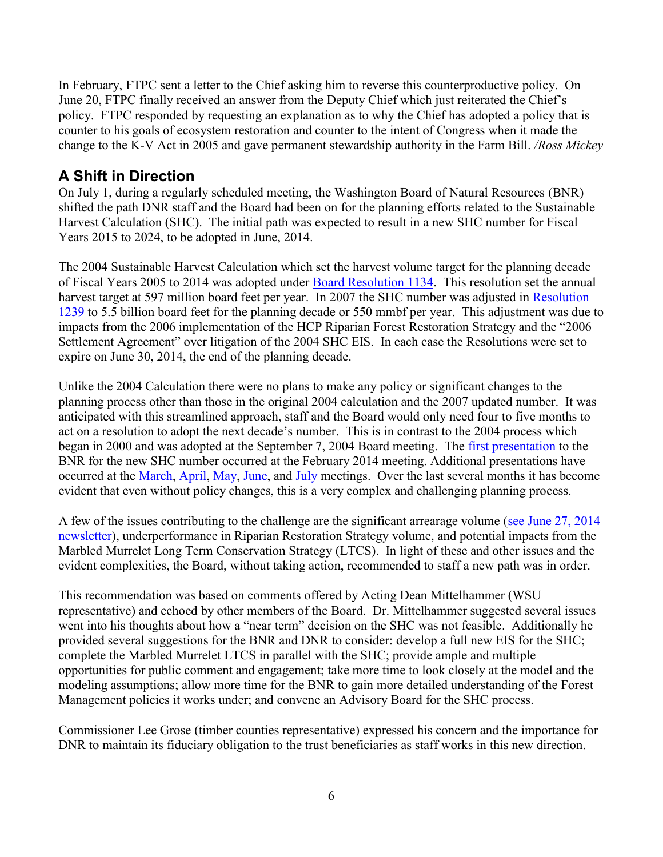In February, FTPC sent a letter to the Chief asking him to reverse this counterproductive policy. On June 20, FTPC finally received an answer from the Deputy Chief which just reiterated the Chief's policy. FTPC responded by requesting an explanation as to why the Chief has adopted a policy that is counter to his goals of ecosystem restoration and counter to the intent of Congress when it made the change to the K-V Act in 2005 and gave permanent stewardship authority in the Farm Bill. */Ross Mickey*

### **A Shift in Direction**

On July 1, during a regularly scheduled meeting, the Washington Board of Natural Resources (BNR) shifted the path DNR staff and the Board had been on for the planning efforts related to the Sustainable Harvest Calculation (SHC). The initial path was expected to result in a new SHC number for Fiscal Years 2015 to 2024, to be adopted in June, 2014.

The 2004 Sustainable Harvest Calculation which set the harvest volume target for the planning decade of Fiscal Years 2005 to 2014 was adopted under [Board Resolution 1134.](http://www.dnr.wa.gov/Publications/lm_sh_bnr1134.pdf) This resolution set the annual harvest target at 597 million board feet per year. In 2007 the SHC number was adjusted in [Resolution](http://www.dnr.wa.gov/Publications/lm_sh_bnr1239.pdf)  [1239](http://www.dnr.wa.gov/Publications/lm_sh_bnr1239.pdf) to 5.5 billion board feet for the planning decade or 550 mmbf per year. This adjustment was due to impacts from the 2006 implementation of the HCP Riparian Forest Restoration Strategy and the "2006 Settlement Agreement" over litigation of the 2004 SHC EIS. In each case the Resolutions were set to expire on June 30, 2014, the end of the planning decade.

Unlike the 2004 Calculation there were no plans to make any policy or significant changes to the planning process other than those in the original 2004 calculation and the 2007 updated number. It was anticipated with this streamlined approach, staff and the Board would only need four to five months to act on a resolution to adopt the next decade's number. This is in contrast to the 2004 process which began in 2000 and was adopted at the September 7, 2004 Board meeting. The [first presentation](http://www.dnr.wa.gov/Publications/em_bc_bnr_022014SHC_presentation.pdf) to the BNR for the new SHC number occurred at the February 2014 meeting. Additional presentations have occurred at the [March,](http://www.dnr.wa.gov/Publications/em_bc_bnr_sustainableharvestcalucation03042014_presentation.pdf) [April,](http://www.dnr.wa.gov/Publications/em_bc_bnr_shc_april2014_presentation.pdf) [May,](http://www.dnr.wa.gov/Publications/em_bc_bnr_shc_presentation.pdf) [June,](http://www.dnr.wa.gov/Publications/em_bc_bnr_shc_presentation062014.pdf) and [July](http://www.dnr.wa.gov/Publications/em_bc_bnr_shc_presentation072014.pdf) meetings. Over the last several months it has become evident that even without policy changes, this is a very complex and challenging planning process.

A few of the issues contributing to the challenge are the significant arrearage volume [\(see June 27, 2014](http://www.amforest.org/images/pdfs/AFRC_Newsletter_6-27-14.pdf)  [newsletter\)](http://www.amforest.org/images/pdfs/AFRC_Newsletter_6-27-14.pdf), underperformance in Riparian Restoration Strategy volume, and potential impacts from the Marbled Murrelet Long Term Conservation Strategy (LTCS). In light of these and other issues and the evident complexities, the Board, without taking action, recommended to staff a new path was in order.

This recommendation was based on comments offered by Acting Dean Mittelhammer (WSU representative) and echoed by other members of the Board. Dr. Mittelhammer suggested several issues went into his thoughts about how a "near term" decision on the SHC was not feasible. Additionally he provided several suggestions for the BNR and DNR to consider: develop a full new EIS for the SHC; complete the Marbled Murrelet LTCS in parallel with the SHC; provide ample and multiple opportunities for public comment and engagement; take more time to look closely at the model and the modeling assumptions; allow more time for the BNR to gain more detailed understanding of the Forest Management policies it works under; and convene an Advisory Board for the SHC process.

Commissioner Lee Grose (timber counties representative) expressed his concern and the importance for DNR to maintain its fiduciary obligation to the trust beneficiaries as staff works in this new direction.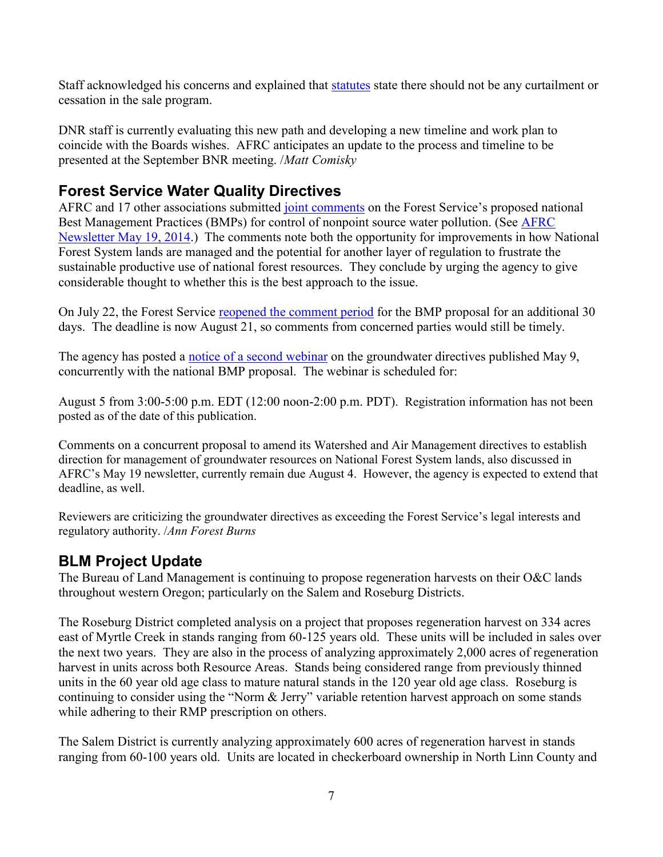Staff acknowledged his concerns and explained that [statutes](http://apps.leg.wa.gov/rcw/default.aspx?cite=79.10.310) state there should not be any curtailment or cessation in the sale program.

DNR staff is currently evaluating this new path and developing a new timeline and work plan to coincide with the Boards wishes. AFRC anticipates an update to the process and timeline to be presented at the September BNR meeting. /*Matt Comisky*

# **Forest Service Water Quality Directives**

AFRC and 17 other associations submitted [joint comments](http://www.amforest.org/images/pdfs/FS_BMP_Directives_Comments_by_Natural_Resource_Users_Coalition_07-07-14.pdf) on the Forest Service's proposed national Best Management Practices (BMPs) for control of nonpoint source water pollution. (See [AFRC](http://www.amforest.org/images/pdfs/AFRC_Newsletter_5-19-14.pdf)  [Newsletter May 19, 2014.](http://www.amforest.org/images/pdfs/AFRC_Newsletter_5-19-14.pdf)) The comments note both the opportunity for improvements in how National Forest System lands are managed and the potential for another layer of regulation to frustrate the sustainable productive use of national forest resources. They conclude by urging the agency to give considerable thought to whether this is the best approach to the issue.

On July 22, the Forest Service [reopened the comment period](http://www.gpo.gov/fdsys/pkg/FR-2014-07-22/pdf/2014-17163.pdf) for the BMP proposal for an additional 30 days. The deadline is now August 21, so comments from concerned parties would still be timely.

The agency has posted a [notice of a second webinar](http://www.fs.fed.us/geology/groundwater.html) on the groundwater directives published May 9, concurrently with the national BMP proposal. The webinar is scheduled for:

August 5 from 3:00-5:00 p.m. EDT (12:00 noon-2:00 p.m. PDT). Registration information has not been posted as of the date of this publication.

Comments on a concurrent proposal to amend its Watershed and Air Management directives to establish direction for management of groundwater resources on National Forest System lands, also discussed in AFRC's May 19 newsletter, currently remain due August 4. However, the agency is expected to extend that deadline, as well.

Reviewers are criticizing the groundwater directives as exceeding the Forest Service's legal interests and regulatory authority. /*Ann Forest Burns*

# **BLM Project Update**

The Bureau of Land Management is continuing to propose regeneration harvests on their O&C lands throughout western Oregon; particularly on the Salem and Roseburg Districts.

The Roseburg District completed analysis on a project that proposes regeneration harvest on 334 acres east of Myrtle Creek in stands ranging from 60-125 years old. These units will be included in sales over the next two years. They are also in the process of analyzing approximately 2,000 acres of regeneration harvest in units across both Resource Areas. Stands being considered range from previously thinned units in the 60 year old age class to mature natural stands in the 120 year old age class. Roseburg is continuing to consider using the "Norm & Jerry" variable retention harvest approach on some stands while adhering to their RMP prescription on others.

The Salem District is currently analyzing approximately 600 acres of regeneration harvest in stands ranging from 60-100 years old. Units are located in checkerboard ownership in North Linn County and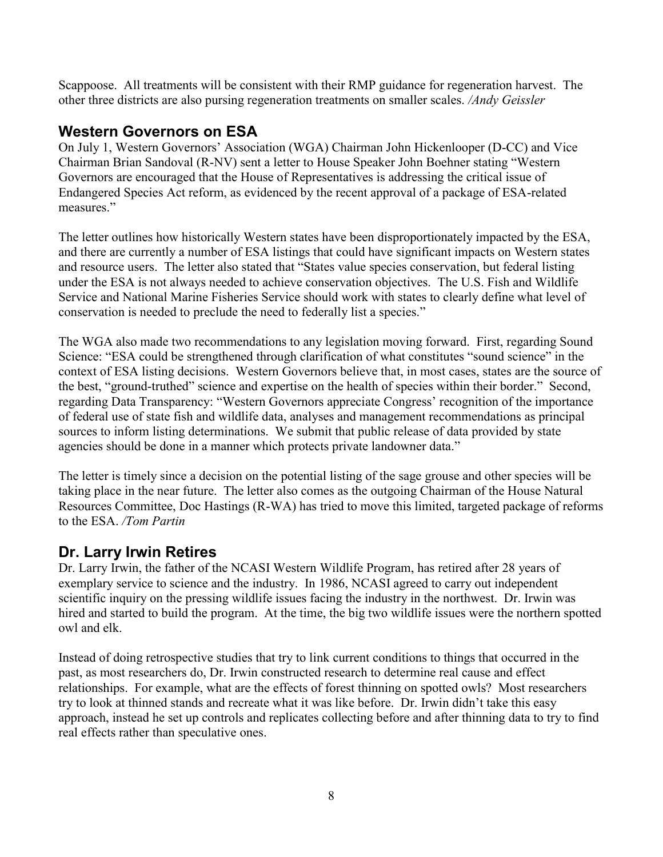Scappoose. All treatments will be consistent with their RMP guidance for regeneration harvest. The other three districts are also pursing regeneration treatments on smaller scales. */Andy Geissler*

## **Western Governors on ESA**

On July 1, Western Governors' Association (WGA) Chairman John Hickenlooper (D-CC) and Vice Chairman Brian Sandoval (R-NV) sent a letter to House Speaker John Boehner stating "Western Governors are encouraged that the House of Representatives is addressing the critical issue of Endangered Species Act reform, as evidenced by the recent approval of a package of ESA-related measures."

The letter outlines how historically Western states have been disproportionately impacted by the ESA, and there are currently a number of ESA listings that could have significant impacts on Western states and resource users. The letter also stated that "States value species conservation, but federal listing under the ESA is not always needed to achieve conservation objectives. The U.S. Fish and Wildlife Service and National Marine Fisheries Service should work with states to clearly define what level of conservation is needed to preclude the need to federally list a species."

The WGA also made two recommendations to any legislation moving forward. First, regarding Sound Science: "ESA could be strengthened through clarification of what constitutes "sound science" in the context of ESA listing decisions. Western Governors believe that, in most cases, states are the source of the best, "ground-truthed" science and expertise on the health of species within their border." Second, regarding Data Transparency: "Western Governors appreciate Congress' recognition of the importance of federal use of state fish and wildlife data, analyses and management recommendations as principal sources to inform listing determinations. We submit that public release of data provided by state agencies should be done in a manner which protects private landowner data."

The letter is timely since a decision on the potential listing of the sage grouse and other species will be taking place in the near future. The letter also comes as the outgoing Chairman of the House Natural Resources Committee, Doc Hastings (R-WA) has tried to move this limited, targeted package of reforms to the ESA. */Tom Partin*

## **Dr. Larry Irwin Retires**

Dr. Larry Irwin, the father of the NCASI Western Wildlife Program, has retired after 28 years of exemplary service to science and the industry. In 1986, NCASI agreed to carry out independent scientific inquiry on the pressing wildlife issues facing the industry in the northwest. Dr. Irwin was hired and started to build the program. At the time, the big two wildlife issues were the northern spotted owl and elk.

Instead of doing retrospective studies that try to link current conditions to things that occurred in the past, as most researchers do, Dr. Irwin constructed research to determine real cause and effect relationships. For example, what are the effects of forest thinning on spotted owls? Most researchers try to look at thinned stands and recreate what it was like before. Dr. Irwin didn't take this easy approach, instead he set up controls and replicates collecting before and after thinning data to try to find real effects rather than speculative ones.